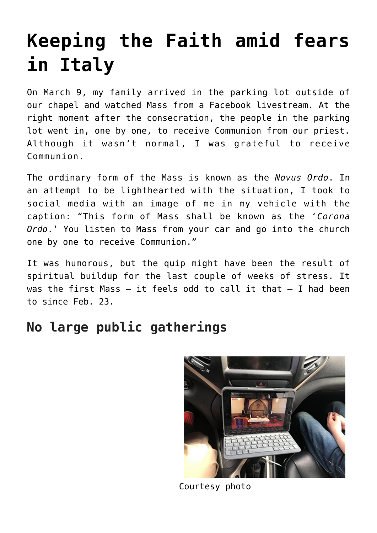# **[Keeping the Faith amid fears](https://www.osvnews.com/2020/03/12/keeping-the-faith-amid-fears-in-italy/) [in Italy](https://www.osvnews.com/2020/03/12/keeping-the-faith-amid-fears-in-italy/)**

On March 9, my family arrived in the parking lot outside of our chapel and watched Mass from a Facebook livestream. At the right moment after the consecration, the people in the parking lot went in, one by one, to receive Communion from our priest. Although it wasn't normal, I was grateful to receive Communion.

The ordinary form of the Mass is known as the *Novus Ordo*. In an attempt to be lighthearted with the situation, I took to social media with an image of me in my vehicle with the caption: "This form of Mass shall be known as the '*Corona Ordo*.' You listen to Mass from your car and go into the church one by one to receive Communion."

It was humorous, but the quip might have been the result of spiritual buildup for the last couple of weeks of stress. It was the first Mass  $-$  it feels odd to call it that  $-$  I had been to since Feb. 23.

# **No large public gatherings**



Courtesy photo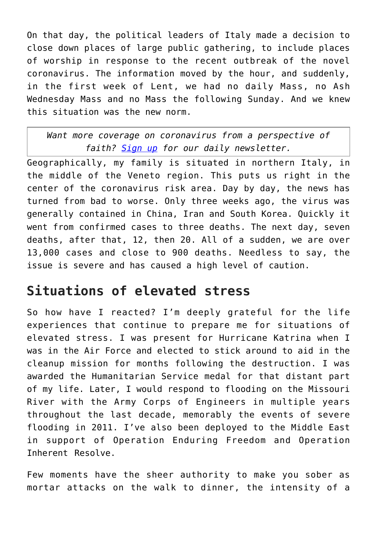On that day, the political leaders of Italy made a decision to close down places of large public gathering, to include places of worship in response to the recent outbreak of the novel coronavirus. The information moved by the hour, and suddenly, in the first week of Lent, we had no daily Mass, no Ash Wednesday Mass and no Mass the following Sunday. And we knew this situation was the new norm.

#### *Want more coverage on coronavirus from a perspective of faith? [Sign up](https://reply.osv.com/covid-19) for our daily newsletter.*

Geographically, my family is situated in northern Italy, in the middle of the Veneto region. This puts us right in the center of the coronavirus risk area. Day by day, the news has turned from bad to worse. Only three weeks ago, the virus was generally contained in China, Iran and South Korea. Quickly it went from confirmed cases to three deaths. The next day, seven deaths, after that, 12, then 20. All of a sudden, we are over 13,000 cases and close to 900 deaths. Needless to say, the issue is severe and has caused a high level of caution.

# **Situations of elevated stress**

So how have I reacted? I'm deeply grateful for the life experiences that continue to prepare me for situations of elevated stress. I was present for Hurricane Katrina when I was in the Air Force and elected to stick around to aid in the cleanup mission for months following the destruction. I was awarded the Humanitarian Service medal for that distant part of my life. Later, I would respond to flooding on the Missouri River with the Army Corps of Engineers in multiple years throughout the last decade, memorably the events of severe flooding in 2011. I've also been deployed to the Middle East in support of Operation Enduring Freedom and Operation Inherent Resolve.

Few moments have the sheer authority to make you sober as mortar attacks on the walk to dinner, the intensity of a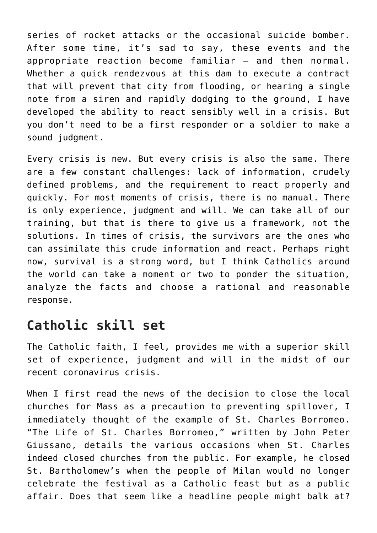series of rocket attacks or the occasional suicide bomber. After some time, it's sad to say, these events and the appropriate reaction become familiar — and then normal. Whether a quick rendezvous at this dam to execute a contract that will prevent that city from flooding, or hearing a single note from a siren and rapidly dodging to the ground, I have developed the ability to react sensibly well in a crisis. But you don't need to be a first responder or a soldier to make a sound judgment.

Every crisis is new. But every crisis is also the same. There are a few constant challenges: lack of information, crudely defined problems, and the requirement to react properly and quickly. For most moments of crisis, there is no manual. There is only experience, judgment and will. We can take all of our training, but that is there to give us a framework, not the solutions. In times of crisis, the survivors are the ones who can assimilate this crude information and react. Perhaps right now, survival is a strong word, but I think Catholics around the world can take a moment or two to ponder the situation, analyze the facts and choose a rational and reasonable response.

### **Catholic skill set**

The Catholic faith, I feel, provides me with a superior skill set of experience, judgment and will in the midst of our recent coronavirus crisis.

When I first read the news of the decision to close the local churches for Mass as a precaution to preventing spillover, I immediately thought of the example of St. Charles Borromeo. "The Life of St. Charles Borromeo," written by John Peter Giussano, details the various occasions when St. Charles indeed closed churches from the public. For example, he closed St. Bartholomew's when the people of Milan would no longer celebrate the festival as a Catholic feast but as a public affair. Does that seem like a headline people might balk at?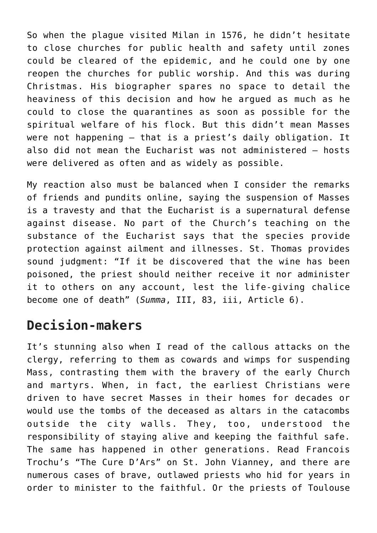So when the plague visited Milan in 1576, he didn't hesitate to close churches for public health and safety until zones could be cleared of the epidemic, and he could one by one reopen the churches for public worship. And this was during Christmas. His biographer spares no space to detail the heaviness of this decision and how he argued as much as he could to close the quarantines as soon as possible for the spiritual welfare of his flock. But this didn't mean Masses were not happening — that is a priest's daily obligation. It also did not mean the Eucharist was not administered — hosts were delivered as often and as widely as possible.

My reaction also must be balanced when I consider the remarks of friends and pundits online, saying the suspension of Masses is a travesty and that the Eucharist is a supernatural defense against disease. No part of the Church's teaching on the substance of the Eucharist says that the species provide protection against ailment and illnesses. St. Thomas provides sound judgment: "If it be discovered that the wine has been poisoned, the priest should neither receive it nor administer it to others on any account, lest the life-giving chalice become one of death" (*Summa*, III, 83, iii, Article 6).

### **Decision-makers**

It's stunning also when I read of the callous attacks on the clergy, referring to them as cowards and wimps for suspending Mass, contrasting them with the bravery of the early Church and martyrs. When, in fact, the earliest Christians were driven to have secret Masses in their homes for decades or would use the tombs of the deceased as altars in the catacombs outside the city walls. They, too, understood the responsibility of staying alive and keeping the faithful safe. The same has happened in other generations. Read Francois Trochu's "The Cure D'Ars" on St. John Vianney, and there are numerous cases of brave, outlawed priests who hid for years in order to minister to the faithful. Or the priests of Toulouse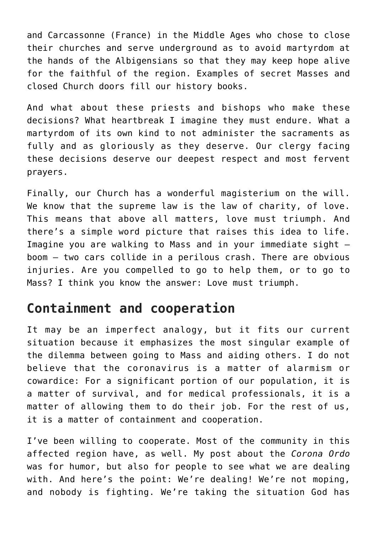and Carcassonne (France) in the Middle Ages who chose to close their churches and serve underground as to avoid martyrdom at the hands of the Albigensians so that they may keep hope alive for the faithful of the region. Examples of secret Masses and closed Church doors fill our history books.

And what about these priests and bishops who make these decisions? What heartbreak I imagine they must endure. What a martyrdom of its own kind to not administer the sacraments as fully and as gloriously as they deserve. Our clergy facing these decisions deserve our deepest respect and most fervent prayers.

Finally, our Church has a wonderful magisterium on the will. We know that the supreme law is the law of charity, of love. This means that above all matters, love must triumph. And there's a simple word picture that raises this idea to life. Imagine you are walking to Mass and in your immediate sight boom — two cars collide in a perilous crash. There are obvious injuries. Are you compelled to go to help them, or to go to Mass? I think you know the answer: Love must triumph.

## **Containment and cooperation**

It may be an imperfect analogy, but it fits our current situation because it emphasizes the most singular example of the dilemma between going to Mass and aiding others. I do not believe that the coronavirus is a matter of alarmism or cowardice: For a significant portion of our population, it is a matter of survival, and for medical professionals, it is a matter of allowing them to do their job. For the rest of us, it is a matter of containment and cooperation.

I've been willing to cooperate. Most of the community in this affected region have, as well. My post about the *Corona Ordo* was for humor, but also for people to see what we are dealing with. And here's the point: We're dealing! We're not moping, and nobody is fighting. We're taking the situation God has